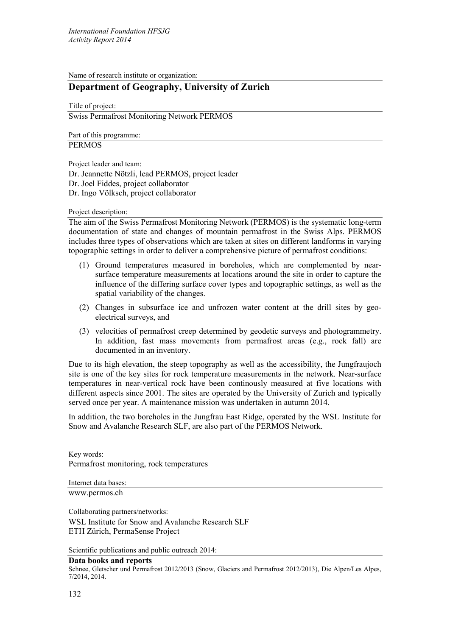Name of research institute or organization:

## **Department of Geography, University of Zurich**

Title of project: Swiss Permafrost Monitoring Network PERMOS

Part of this programme:

## **PERMOS**

Project leader and team:

Dr. Jeannette Nötzli, lead PERMOS, project leader Dr. Joel Fiddes, project collaborator Dr. Ingo Völksch, project collaborator

## Project description:

The aim of the Swiss Permafrost Monitoring Network (PERMOS) is the systematic long-term documentation of state and changes of mountain permafrost in the Swiss Alps. PERMOS includes three types of observations which are taken at sites on different landforms in varying topographic settings in order to deliver a comprehensive picture of permafrost conditions:

- (1) Ground temperatures measured in boreholes, which are complemented by nearsurface temperature measurements at locations around the site in order to capture the influence of the differing surface cover types and topographic settings, as well as the spatial variability of the changes.
- (2) Changes in subsurface ice and unfrozen water content at the drill sites by geoelectrical surveys, and
- (3) velocities of permafrost creep determined by geodetic surveys and photogrammetry. In addition, fast mass movements from permafrost areas (e.g., rock fall) are documented in an inventory.

Due to its high elevation, the steep topography as well as the accessibility, the Jungfraujoch site is one of the key sites for rock temperature measurements in the network. Near-surface temperatures in near-vertical rock have been continously measured at five locations with different aspects since 2001. The sites are operated by the University of Zurich and typically served once per year. A maintenance mission was undertaken in autumn 2014.

In addition, the two boreholes in the Jungfrau East Ridge, operated by the WSL Institute for Snow and Avalanche Research SLF, are also part of the PERMOS Network.

Key words:

Permafrost monitoring, rock temperatures

Internet data bases:

www.permos.ch

Collaborating partners/networks:

WSL Institute for Snow and Avalanche Research SLF ETH Zürich, PermaSense Project

Scientific publications and public outreach 2014:

## **Data books and reports**

Schnee, Gletscher und Permafrost 2012/2013 (Snow, Glaciers and Permafrost 2012/2013), Die Alpen/Les Alpes, 7/2014, 2014.